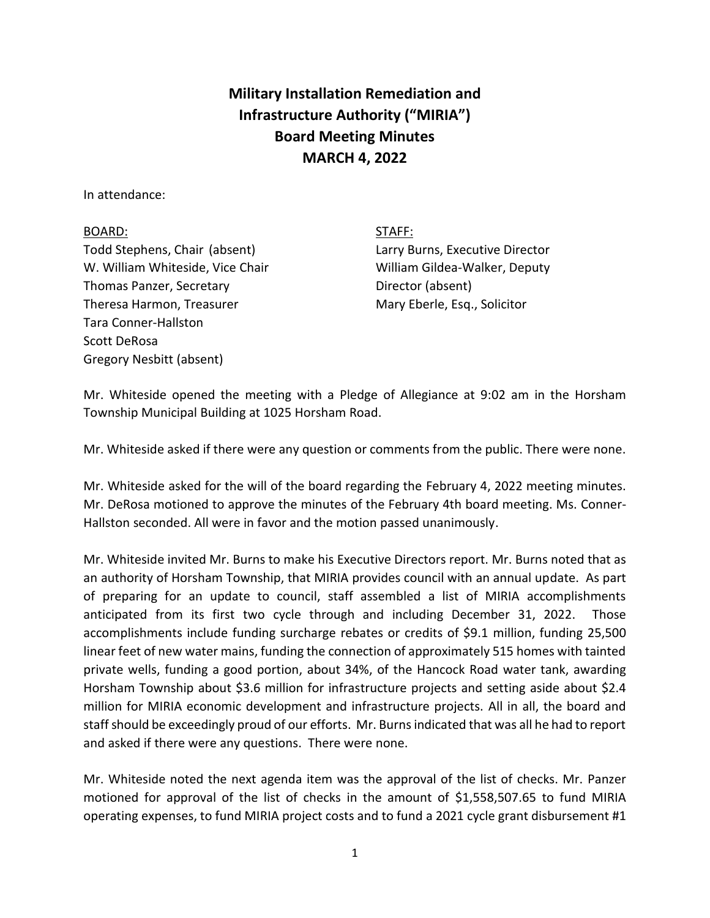## **Military Installation Remediation and Infrastructure Authority ("MIRIA") Board Meeting Minutes MARCH 4, 2022**

In attendance:

## BOARD: STAFF:

Todd Stephens, Chair (absent) Larry Burns, Executive Director W. William Whiteside, Vice Chair William Gildea-Walker, Deputy Thomas Panzer, Secretary **Director** (absent) Theresa Harmon, Treasurer Mary Eberle, Esq., Solicitor Tara Conner-Hallston Scott DeRosa Gregory Nesbitt (absent)

Mr. Whiteside opened the meeting with a Pledge of Allegiance at 9:02 am in the Horsham Township Municipal Building at 1025 Horsham Road.

Mr. Whiteside asked if there were any question or comments from the public. There were none.

Mr. Whiteside asked for the will of the board regarding the February 4, 2022 meeting minutes. Mr. DeRosa motioned to approve the minutes of the February 4th board meeting. Ms. Conner-Hallston seconded. All were in favor and the motion passed unanimously.

Mr. Whiteside invited Mr. Burns to make his Executive Directors report. Mr. Burns noted that as an authority of Horsham Township, that MIRIA provides council with an annual update. As part of preparing for an update to council, staff assembled a list of MIRIA accomplishments anticipated from its first two cycle through and including December 31, 2022. Those accomplishments include funding surcharge rebates or credits of \$9.1 million, funding 25,500 linear feet of new water mains, funding the connection of approximately 515 homes with tainted private wells, funding a good portion, about 34%, of the Hancock Road water tank, awarding Horsham Township about \$3.6 million for infrastructure projects and setting aside about \$2.4 million for MIRIA economic development and infrastructure projects. All in all, the board and staff should be exceedingly proud of our efforts. Mr. Burns indicated that was all he had to report and asked if there were any questions. There were none.

Mr. Whiteside noted the next agenda item was the approval of the list of checks. Mr. Panzer motioned for approval of the list of checks in the amount of \$1,558,507.65 to fund MIRIA operating expenses, to fund MIRIA project costs and to fund a 2021 cycle grant disbursement #1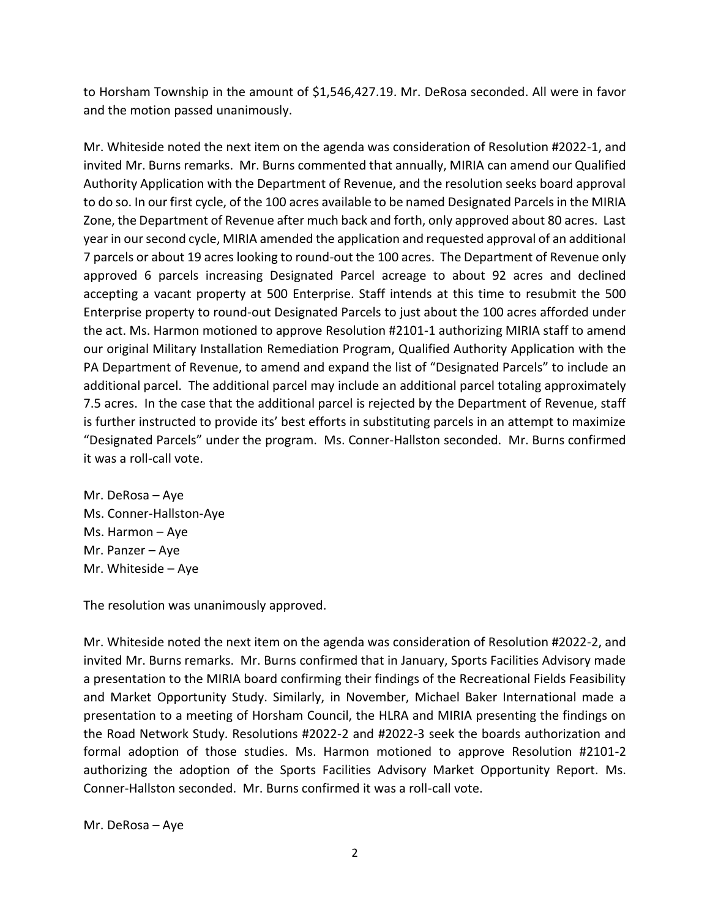to Horsham Township in the amount of \$1,546,427.19. Mr. DeRosa seconded. All were in favor and the motion passed unanimously.

Mr. Whiteside noted the next item on the agenda was consideration of Resolution #2022-1, and invited Mr. Burns remarks. Mr. Burns commented that annually, MIRIA can amend our Qualified Authority Application with the Department of Revenue, and the resolution seeks board approval to do so. In our first cycle, of the 100 acres available to be named Designated Parcels in the MIRIA Zone, the Department of Revenue after much back and forth, only approved about 80 acres. Last year in our second cycle, MIRIA amended the application and requested approval of an additional 7 parcels or about 19 acres looking to round-out the 100 acres. The Department of Revenue only approved 6 parcels increasing Designated Parcel acreage to about 92 acres and declined accepting a vacant property at 500 Enterprise. Staff intends at this time to resubmit the 500 Enterprise property to round-out Designated Parcels to just about the 100 acres afforded under the act. Ms. Harmon motioned to approve Resolution #2101-1 authorizing MIRIA staff to amend our original Military Installation Remediation Program, Qualified Authority Application with the PA Department of Revenue, to amend and expand the list of "Designated Parcels" to include an additional parcel. The additional parcel may include an additional parcel totaling approximately 7.5 acres. In the case that the additional parcel is rejected by the Department of Revenue, staff is further instructed to provide its' best efforts in substituting parcels in an attempt to maximize "Designated Parcels" under the program. Ms. Conner-Hallston seconded. Mr. Burns confirmed it was a roll-call vote.

Mr. DeRosa – Aye Ms. Conner-Hallston-Aye Ms. Harmon – Aye Mr. Panzer – Aye Mr. Whiteside – Aye

The resolution was unanimously approved.

Mr. Whiteside noted the next item on the agenda was consideration of Resolution #2022-2, and invited Mr. Burns remarks. Mr. Burns confirmed that in January, Sports Facilities Advisory made a presentation to the MIRIA board confirming their findings of the Recreational Fields Feasibility and Market Opportunity Study. Similarly, in November, Michael Baker International made a presentation to a meeting of Horsham Council, the HLRA and MIRIA presenting the findings on the Road Network Study. Resolutions #2022-2 and #2022-3 seek the boards authorization and formal adoption of those studies. Ms. Harmon motioned to approve Resolution #2101-2 authorizing the adoption of the Sports Facilities Advisory Market Opportunity Report. Ms. Conner-Hallston seconded. Mr. Burns confirmed it was a roll-call vote.

Mr. DeRosa – Aye